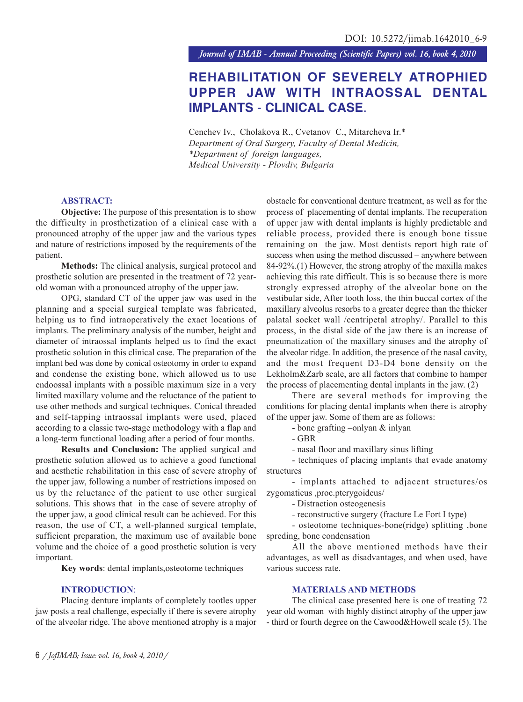*Journal of IMAB - Annual Proceeding (Scientific Papers) vol. 16, book 4, 2010*

# **REHABILITATION OF SEVERELY ATROPHIED UPPER JAW WITH INTRAOSSAL DENTAL IMPLANTS** - **CLINICAL CASE**.

Cenchev Iv., Cholakova R., Cvetanov C., Mitarcheva Ir.\* *Department of Oral Surgery, Faculty of Dental Medicin, \*Department of foreign languages, Medical University - Plovdiv, Bulgaria*

## **ABSTRACT:**

**Objective:** The purpose of this presentation is to show the difficulty in prosthetization of a clinical case with a pronounced atrophy of the upper jaw and the various types and nature of restrictions imposed by the requirements of the patient.

**Methods:** The clinical analysis, surgical protocol and prosthetic solution are presented in the treatment of 72 yearold woman with a pronounced atrophy of the upper jaw.

OPG, standard CT of the upper jaw was used in the planning and a special surgical template was fabricated, helping us to find intraoperatively the exact locations of implants. The preliminary analysis of the number, height and diameter of intraossal implants helped us to find the exact prosthetic solution in this clinical case. The preparation of the implant bed was done by conical osteotomy in order to expand and condense the existing bone, which allowed us to use endoossal implants with a possible maximum size in a very limited maxillary volume and the reluctance of the patient to use other methods and surgical techniques. Conical threaded and self-tapping intraossal implants were used, placed according to a classic two-stage methodology with a flap and a long-term functional loading after a period of four months.

**Results and Conclusion:** The applied surgical and prosthetic solution allowed us to achieve a good functional and aesthetic rehabilitation in this case of severe atrophy of the upper jaw, following a number of restrictions imposed on us by the reluctance of the patient to use other surgical solutions. This shows that in the case of severe atrophy of the upper jaw, a good clinical result can be achieved. For this reason, the use of CT, a well-planned surgical template, sufficient preparation, the maximum use of available bone volume and the choice of a good prosthetic solution is very important.

**Key words**: dental implants,osteotome techniques

#### **INTRODUCTION**:

Placing denture implants of completely tootles upper jaw posts a real challenge, especially if there is severe atrophy of the alveolar ridge. The above mentioned atrophy is a major

obstacle for conventional denture treatment, as well as for the process ofplacementing of dental implants. The recuperation of upper jaw with dental implants is highly predictable and reliable process, provided there is enough bone tissue remaining on the jaw. Most dentists report high rate of success when using the method discussed – anywhere between 84-92%.(1) However, the strong atrophy of the maxilla makes achieving this rate difficult. This is so because there is more strongly expressed atrophy of the alveolar bone on the vestibular side, After tooth loss, the thin buccal cortex of the maxillary alveolus resorbs to a greater degree than the thicker palatal socket wall /centripetal atrophy/. Parallel to this process, in the distal side of the jaw there is an increase of pneumatization of the maxillary sinuses and the atrophy of the alveolar ridge. In addition, the presence of the nasal cavity, and the most frequent D3-D4 bone density on the Lekholm&Zarb scale, are all factors that combine to hamper the process of placementing dental implants in the jaw. (2)

There are several methods for improving the conditions for placing dental implants when there is atrophy of the upper jaw. Some of them are as follows:

- bone grafting –onlyan & inlyan

- GBR
- nasal floor and maxillary sinus lifting

- techniques of placing implants that evade anatomy structures

- implants attached to adjacent structures/os zygomaticus ,proc.pterygoideus/

- Distraction osteogenesis

- reconstructive surgery (fracture Le Fort I type)

- osteotome techniques-bone(ridge) splitting ,bone spreding, bone condensation

All the above mentioned methods have their advantages, as well as disadvantages, and when used, have various success rate.

### **MATERIALS AND METHODS**

The clinical case presented here is one of treating 72 year old woman with highly distinct atrophy of the upper jaw - third or fourth degree on the Cawood&Howell scale (5). The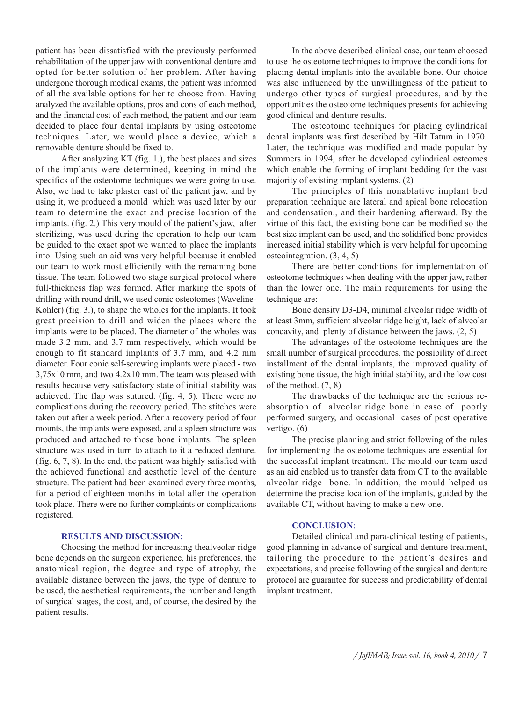patient has been dissatisfied with the previously performed rehabilitation of the upper jaw with conventional denture and opted for better solution of her problem. After having undergone thorough medical exams, the patient was informed of all the available options for her to choose from. Having analyzed the available options, pros and cons of each method, and the financial cost of each method, the patient and our team decided to place four dental implants by using osteotome techniques. Later, we would place a device, which a removable denture should be fixed to.

After analyzing KT (fig. 1.), the best places and sizes of the implants were determined, keeping in mind the specifics of the osteotome techniques we were going to use. Also, we had to take plaster cast of the patient jaw, and by using it, we produced a mould which was used later by our team to determine the exact and precise location of the implants. (fig. 2.) This very mould of the patient's jaw, after sterilizing, was used during the operation to help our team be guided to the exact spot we wanted to place the implants into. Using such an aid was very helpful because it enabled our team to work most efficiently with the remaining bone tissue. The team followed two stage surgical protocol where full-thickness flap was formed. After marking the spots of drilling with round drill, we used conic osteotomes (Waveline-Kohler) (fig. 3.), to shape the wholes for the implants. It took great precision to drill and widen the places where the implants were to be placed. The diameter of the wholes was made 3.2 mm, and 3.7 mm respectively, which would be enough to fit standard implants of 3.7 mm, and 4.2 mm diameter. Four conic self-screwing implants were placed - two  $3,75x10$  mm, and two  $4.2x10$  mm. The team was pleased with results because very satisfactory state of initial stability was achieved. The flap was sutured. (fig. 4, 5). There were no complications during the recovery period. The stitches were taken out after a week period. After a recovery period of four mounts, the implants were exposed, and a spleen structure was produced and attached to those bone implants. The spleen structure was used in turn to attach to it a reduced denture. (fig. 6, 7, 8). In the end, the patient was highly satisfied with the achieved functional and aesthetic level of the denture structure. The patient had been examined every three months, for a period of eighteen months in total after the operation took place. There were no further complaints or complications registered.

#### **RESULTS AND DISCUSSION:**

Choosing the method for increasing thealveolar ridge bone depends on the surgeon experience, his preferences, the anatomical region, the degree and type of atrophy, the available distance between the jaws, the type of denture to be used, the aesthetical requirements, the number and length of surgical stages, the cost, and, of course, the desired by the patient results.

In the above described clinical case, our team choosed to use the osteotome techniques to improve the conditions for placing dental implants into the available bone. Our choice was also influenced by the unwillingness of the patient to undergo other types of surgical procedures, and by the opportunities the osteotome techniques presents for achieving good clinical and denture results.

The osteotome techniques for placing cylindrical dental implants was first described by Hilt Tatum in 1970. Later, the technique was modified and made popular by Summers in 1994, after he developed cylindrical osteomes which enable the forming of implant bedding for the vast majority of existing implant systems. (2)

The principles of this nonablative implant bed preparation technique are lateral and apical bone relocation and condensation., and their hardening afterward. By the virtue of this fact, the existing bone can be modified so the best size implant can be used, and the solidified bone provides increased initial stability which is very helpful for upcoming osteointegration. (3, 4, 5)

There are better conditions for implementation of osteotome techniques when dealing with the upper jaw, rather than the lower one. The main requirements for using the technique are:

Bone density D3-D4, minimal alveolar ridge width of at least 3mm, sufficient alveolar ridge height, lack of alveolar concavity, and plenty of distance between the jaws. (2, 5)

The advantages of the osteotome techniques are the small number of surgical procedures, the possibility of direct installment of the dental implants, the improved quality of existing bone tissue, the high initial stability, and the low cost of the method. (7, 8)

The drawbacks of the technique are the serious reabsorption of alveolar ridge bone in case of poorly performed surgery, and occasional cases of post operative vertigo. (6)

The precise planning and strict following of the rules for implementing the osteotome techniques are essential for the successful implant treatment. The mould our team used as an aid enabled us to transfer data from CT to the available alveolar ridge bone. In addition, the mould helped us determine the precise location of the implants, guided by the available CT, without having to make a new one.

# **CONCLUSION**:

Detailed clinical and para-clinical testing of patients, good planning in advance of surgical and denture treatment, tailoring the procedure to the patient's desires and expectations, and precise following of the surgical and denture protocol are guarantee for success and predictability of dental implant treatment.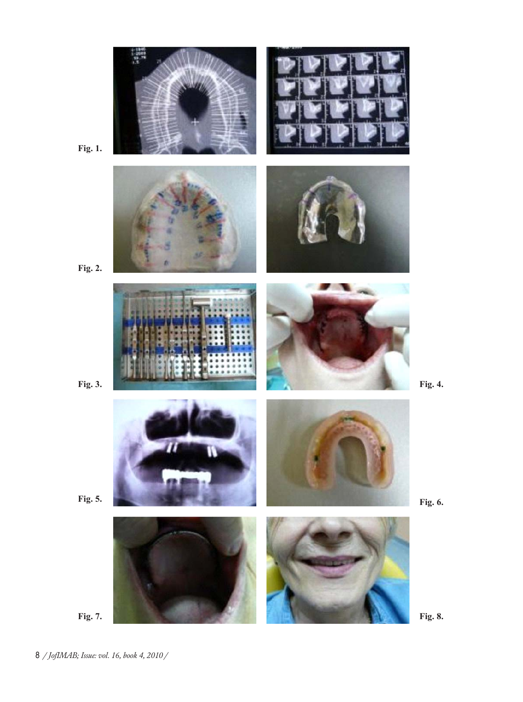

**Fig. 1.**

**Fig. 2.**

**Fig. 5.**

**Fig. 8.**

**Fig. 6.**

8 */ JofIMAB; Issue: vol. 16, book 4, 2010 /*